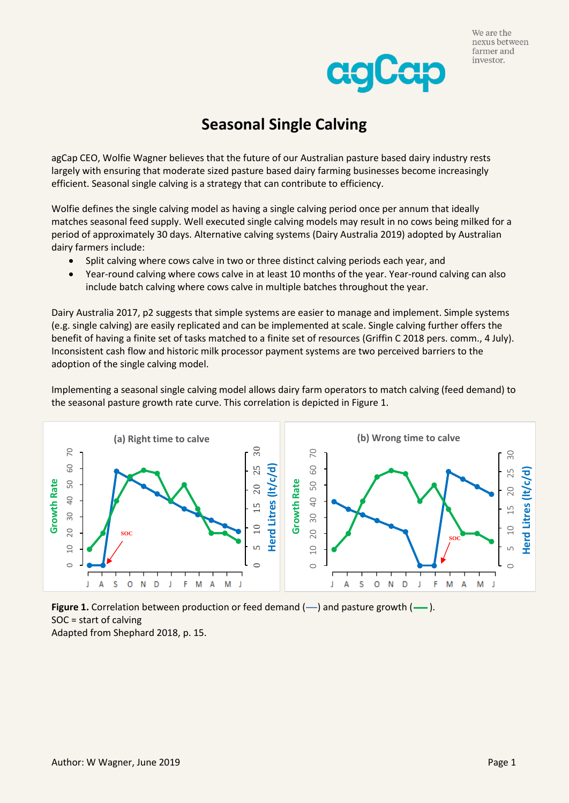



## **Seasonal Single Calving**

agCap CEO, Wolfie Wagner believes that the future of our Australian pasture based dairy industry rests largely with ensuring that moderate sized pasture based dairy farming businesses become increasingly efficient. Seasonal single calving is a strategy that can contribute to efficiency.

Wolfie defines the single calving model as having a single calving period once per annum that ideally matches seasonal feed supply. Well executed single calving models may result in no cows being milked for a period of approximately 30 days. Alternative calving systems (Dairy Australia 2019) adopted by Australian dairy farmers include:

- Split calving where cows calve in two or three distinct calving periods each year, and
- Year-round calving where cows calve in at least 10 months of the year. Year-round calving can also include batch calving where cows calve in multiple batches throughout the year.

Dairy Australia 2017, p2 suggests that simple systems are easier to manage and implement. Simple systems (e.g. single calving) are easily replicated and can be implemented at scale. Single calving further offers the benefit of having a finite set of tasks matched to a finite set of resources (Griffin C 2018 pers. comm., 4 July). Inconsistent cash flow and historic milk processor payment systems are two perceived barriers to the adoption of the single calving model.

Implementing a seasonal single calving model allows dairy farm operators to match calving (feed demand) to the seasonal pasture growth rate curve. This correlation is depicted in Figure 1.



**Figure 1.** Correlation between production or feed demand  $(-)$  and pasture growth  $(-)$ . SOC = start of calving Adapted from Shephard 2018, p. 15.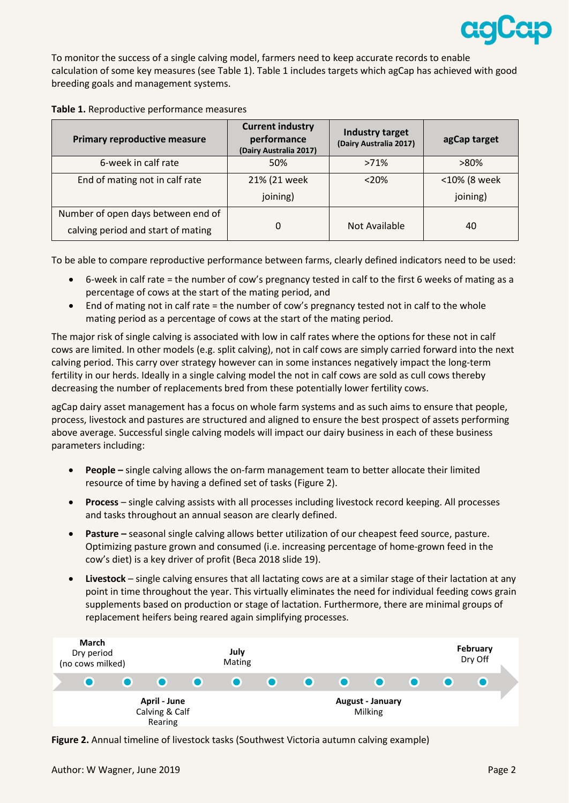

To monitor the success of a single calving model, farmers need to keep accurate records to enable calculation of some key measures (see Table 1). Table 1 includes targets which agCap has achieved with good breeding goals and management systems.

|  | Table 1. Reproductive performance measures |
|--|--------------------------------------------|
|--|--------------------------------------------|

| <b>Primary reproductive measure</b> | <b>Current industry</b><br>performance<br>(Dairy Australia 2017) | Industry target<br>(Dairy Australia 2017) | agCap target |
|-------------------------------------|------------------------------------------------------------------|-------------------------------------------|--------------|
| 6-week in calf rate                 | 50%                                                              | >71%                                      | $>80\%$      |
| End of mating not in calf rate      | 21% (21 week                                                     | < 20%                                     | <10% (8 week |
|                                     | joining)                                                         |                                           | joining)     |
| Number of open days between end of  |                                                                  |                                           |              |
| calving period and start of mating  | 0                                                                | Not Available                             | 40           |

To be able to compare reproductive performance between farms, clearly defined indicators need to be used:

- 6-week in calf rate = the number of cow's pregnancy tested in calf to the first 6 weeks of mating as a percentage of cows at the start of the mating period, and
- End of mating not in calf rate = the number of cow's pregnancy tested not in calf to the whole mating period as a percentage of cows at the start of the mating period.

The major risk of single calving is associated with low in calf rates where the options for these not in calf cows are limited. In other models (e.g. split calving), not in calf cows are simply carried forward into the next calving period. This carry over strategy however can in some instances negatively impact the long-term fertility in our herds. Ideally in a single calving model the not in calf cows are sold as cull cows thereby decreasing the number of replacements bred from these potentially lower fertility cows.

agCap dairy asset management has a focus on whole farm systems and as such aims to ensure that people, process, livestock and pastures are structured and aligned to ensure the best prospect of assets performing above average. Successful single calving models will impact our dairy business in each of these business parameters including:

- **People –** single calving allows the on-farm management team to better allocate their limited resource of time by having a defined set of tasks (Figure 2).
- **Process** single calving assists with all processes including livestock record keeping. All processes and tasks throughout an annual season are clearly defined.
- **Pasture –** seasonal single calving allows better utilization of our cheapest feed source, pasture. Optimizing pasture grown and consumed (i.e. increasing percentage of home-grown feed in the cow's diet) is a key driver of profit (Beca 2018 slide 19).
- **Livestock** single calving ensures that all lactating cows are at a similar stage of their lactation at any point in time throughout the year. This virtually eliminates the need for individual feeding cows grain supplements based on production or stage of lactation. Furthermore, there are minimal groups of replacement heifers being reared again simplifying processes.



**Figure 2.** Annual timeline of livestock tasks (Southwest Victoria autumn calving example)